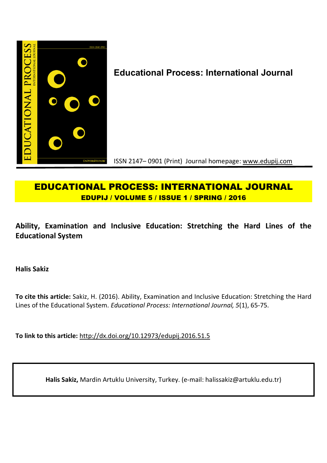

# **Educational Process: International Journal**

ISSN 2147– 0901 (Print) Journal homepage: www.edupij.com

## **EDUCATIONAL PROCESS: INTERNATIONAL JOURNAL EDUPIJ / VOLUME 5 / ISSUE 1 / SPRING / 2016**

## **Ability, Examination and Inclusive Education: Stretching the Hard Lines of the Educational System**

**Halis Sakiz**

**To cite this article:** Sakiz, H. (2016). Ability, Examination and Inclusive Education: Stretching the Hard Lines of the Educational System. *Educational Process: International Journal, 5*(1), 65-75.

**To link to this article:** http://dx.doi.org/10.12973/edupij.2016.51.5

**Halis Sakiz,** Mardin Artuklu University, Turkey. (e-mail: halissakiz@artuklu.edu.tr)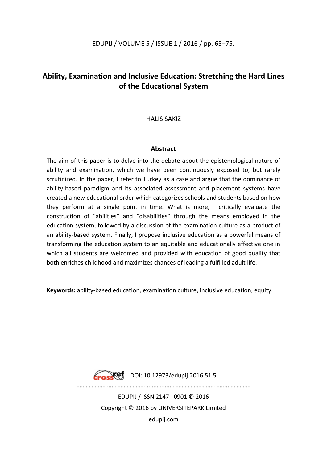## **Ability, Examination and Inclusive Education: Stretching the Hard Lines of the Educational System**

## HALIS SAKIZ

## **Abstract**

The aim of this paper is to delve into the debate about the epistemological nature of ability and examination, which we have been continuously exposed to, but rarely scrutinized. In the paper, I refer to Turkey as a case and argue that the dominance of ability-based paradigm and its associated assessment and placement systems have created a new educational order which categorizes schools and students based on how they perform at a single point in time. What is more, I critically evaluate the construction of "abilities" and "disabilities" through the means employed in the education system, followed by a discussion of the examination culture as a product of an ability-based system. Finally, I propose inclusive education as a powerful means of transforming the education system to an equitable and educationally effective one in which all students are welcomed and provided with education of good quality that both enriches childhood and maximizes chances of leading a fulfilled adult life.

**Keywords:** ability-based education, examination culture, inclusive education, equity.



**Erosset** DOI: 10.12973/edupij.2016.51.5

………………………………………........….....………………………………...……………

EDUPIJ / ISSN 2147– 0901 © 2016 Copyright © 2016 by ÜNİVERSİTEPARK Limited edupij.com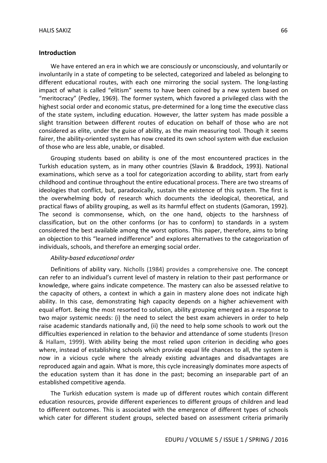#### **Introduction**

We have entered an era in which we are consciously or unconsciously, and voluntarily or involuntarily in a state of competing to be selected, categorized and labeled as belonging to different educational routes, with each one mirroring the social system. The long-lasting impact of what is called "elitism" seems to have been coined by a new system based on "meritocracy" (Pedley, 1969). The former system, which favored a privileged class with the highest social order and economic status, pre-determined for a long time the executive class of the state system, including education. However, the latter system has made possible a slight transition between different routes of education on behalf of those who are not considered as elite, under the guise of ability, as the main measuring tool. Though it seems fairer, the ability-oriented system has now created its own school system with due exclusion of those who are less able, unable, or disabled.

Grouping students based on ability is one of the most encountered practices in the Turkish education system, as in many other countries (Slavin & Braddock, 1993). National examinations, which serve as a tool for categorization according to ability, start from early childhood and continue throughout the entire educational process. There are two streams of ideologies that conflict, but, paradoxically, sustain the existence of this system. The first is the overwhelming body of research which documents the ideological, theoretical, and practical flaws of ability grouping, as well as its harmful effect on students (Gamoran, 1992). The second is commonsense, which, on the one hand, objects to the harshness of classification, but on the other conforms (or has to conform) to standards in a system considered the best available among the worst options. This paper, therefore, aims to bring an objection to this "learned indifference" and explores alternatives to the categorization of individuals, schools, and therefore an emerging social order.

#### *Ability-based educational order*

Definitions of ability vary. Nicholls (1984) provides a comprehensive one. The concept can refer to an individual's current level of mastery in relation to their past performance or knowledge, where gains indicate competence. The mastery can also be assessed relative to the capacity of others, a context in which a gain in mastery alone does not indicate high ability. In this case, demonstrating high capacity depends on a higher achievement with equal effort. Being the most resorted to solution, ability grouping emerged as a response to two major systemic needs: (i) the need to select the best exam achievers in order to help raise academic standards nationally and, (ii) the need to help some schools to work out the difficulties experienced in relation to the behavior and attendance of some students (Ireson & Hallam, 1999). With ability being the most relied upon criterion in deciding who goes where, instead of establishing schools which provide equal life chances to all, the system is now in a vicious cycle where the already existing advantages and disadvantages are reproduced again and again. What is more, this cycle increasingly dominates more aspects of the education system than it has done in the past; becoming an inseparable part of an established competitive agenda.

The Turkish education system is made up of different routes which contain different education resources, provide different experiences to different groups of children and lead to different outcomes. This is associated with the emergence of different types of schools which cater for different student groups, selected based on assessment criteria primarily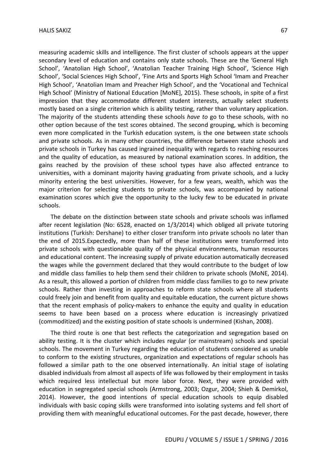measuring academic skills and intelligence. The first cluster of schools appears at the upper secondary level of education and contains only state schools. These are the 'General High School', 'Anatolian High School', 'Anatolian Teacher Training High School', 'Science High School', 'Social Sciences High School', 'Fine Arts and Sports High School 'Imam and Preacher High School', 'Anatolian Imam and Preacher High School', and the 'Vocational and Technical High School' (Ministry of National Education [MoNE], 2015). These schools, in spite of a first impression that they accommodate different student interests, actually select students mostly based on a single criterion which is ability testing, rather than voluntary application. The majority of the students attending these schools *have to* go to these schools, with no other option because of the test scores obtained. The second grouping, which is becoming even more complicated in the Turkish education system, is the one between state schools and private schools. As in many other countries, the difference between state schools and private schools in Turkey has caused ingrained inequality with regards to reaching resources and the quality of education, as measured by national examination scores. In addition, the gains reached by the provision of these school types have also affected entrance to universities, with a dominant majority having graduating from private schools, and a lucky minority entering the best universities. However, for a few years, wealth, which was the major criterion for selecting students to private schools, was accompanied by national examination scores which give the opportunity to the lucky few to be educated in private schools.

The debate on the distinction between state schools and private schools was inflamed after recent legislation (No: 6528, enacted on 1/3/2014) which obliged all private tutoring institutions (Turkish: Dershane) to either closer transform into private schools no later than the end of 2015.Expectedly, more than half of these institutions were transformed into private schools with questionable quality of the physical environments, human resources and educational content. The increasing supply of private education automatically decreased the wages while the government declared that they would contribute to the budget of low and middle class families to help them send their children to private schools (MoNE, 2014). As a result, this allowed a portion of children from middle class families to go to new private schools. Rather than investing in approaches to reform state schools where all students could freely join and benefit from quality and equitable education, the current picture shows that the recent emphasis of policy-makers to enhance the equity and quality in education seems to have been based on a process where education is increasingly privatized (commoditized) and the existing position of state schools is undermined (Kishan, 2008).

The third route is one that best reflects the categorization and segregation based on ability testing. It is the cluster which includes regular (or mainstream) schools and special schools. The movement in Turkey regarding the education of students considered as unable to conform to the existing structures, organization and expectations of regular schools has followed a similar path to the one observed internationally. An initial stage of isolating disabled individuals from almost all aspects of life was followed by their employment in tasks which required less intellectual but more labor force. Next, they were provided with education in segregated special schools (Armstrong, 2003; Ozgur, 2004; Shieh & Demirkol, 2014). However, the good intentions of special education schools to equip disabled individuals with basic coping skills were transformed into isolating systems and fell short of providing them with meaningful educational outcomes. For the past decade, however, there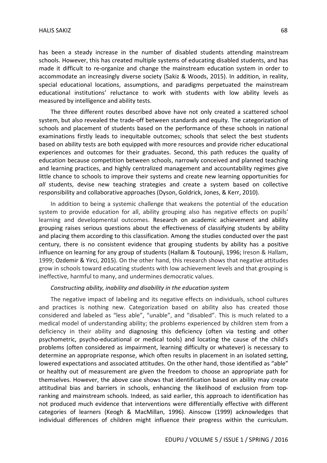has been a steady increase in the number of disabled students attending mainstream schools. However, this has created multiple systems of educating disabled students, and has made it difficult to re-organize and change the mainstream education system in order to accommodate an increasingly diverse society (Sakiz & Woods, 2015). In addition, in reality, special educational locations, assumptions, and paradigms perpetuated the mainstream educational institutions' reluctance to work with students with low ability levels as measured by intelligence and ability tests.

The three different routes described above have not only created a scattered school system, but also revealed the trade-off between standards and equity. The categorization of schools and placement of students based on the performance of these schools in national examinations firstly leads to inequitable outcomes; schools that select the best students based on ability tests are both equipped with more resources and provide richer educational experiences and outcomes for their graduates. Second, this path reduces the quality of education because competition between schools, narrowly conceived and planned teaching and learning practices, and highly centralized management and accountability regimes give little chance to schools to improve their systems and create new learning opportunities for *all* students, devise new teaching strategies and create a system based on collective responsibility and collaborative approaches (Dyson, Goldrick, Jones, & Kerr, 2010).

In addition to being a systemic challenge that weakens the potential of the education system to provide education for all, ability grouping also has negative effects on pupils' learning and developmental outcomes. Research on academic achievement and ability grouping raises serious questions about the effectiveness of classifying students by ability and placing them according to this classification. Among the studies conducted over the past century, there is no consistent evidence that grouping students by ability has a positive influence on learning for any group of students (Hallam & Toutounji, 1996; Ireson & Hallam, 1999; Ozdemir & Yirci, 2015). On the other hand, this research shows that negative attitudes grow in schools toward educating students with low achievement levels and that grouping is ineffective, harmful to many, and undermines democratic values.

#### *Constructing ability, inability and disability in the education system*

The negative impact of labeling and its negative effects on individuals, school cultures and practices is nothing new. Categorization based on ability also has created those considered and labeled as "less able", "unable", and "disabled". This is much related to a medical model of understanding ability; the problems experienced by children stem from a deficiency in their ability and diagnosing this deficiency (often via testing and other psychometric, psycho-educational or medical tools) and locating the cause of the child's problems (often considered as impairment, learning difficulty or whatever) is necessary to determine an appropriate response, which often results in placement in an isolated setting, lowered expectations and associated attitudes. On the other hand, those identified as "able" or healthy out of measurement are given the freedom to choose an appropriate path for themselves. However, the above case shows that identification based on ability may create attitudinal bias and barriers in schools, enhancing the likelihood of exclusion from topranking and mainstream schools. Indeed, as said earlier, this approach to identification has not produced much evidence that interventions were differentially effective with different categories of learners (Keogh & MacMillan, 1996). Ainscow (1999) acknowledges that individual differences of children might influence their progress within the curriculum.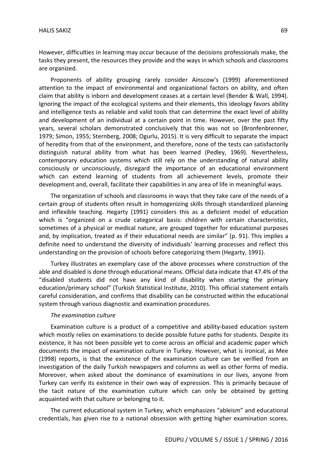However, difficulties in learning may occur because of the decisions professionals make, the tasks they present, the resources they provide and the ways in which schools and classrooms are organized.

Proponents of ability grouping rarely consider Ainscow's (1999) aforementioned attention to the impact of environmental and organizational factors on ability, and often claim that ability is inborn and development ceases at a certain level (Bender & Wall, 1994). Ignoring the impact of the ecological systems and their elements, this ideology favors ability and intelligence tests as reliable and valid tools that can determine the exact level of ability and development of an individual at a certain point in time. However, over the past fifty years, several scholars demonstrated conclusively that this was not so (Bronfenbrenner, 1979; Simon, 1955; Sternberg, 2008; Ogurlu, 2015). It is very difficult to separate the impact of heredity from that of the environment, and therefore, none of the tests can satisfactorily distinguish natural ability from what has been learned (Pedley, 1969). Nevertheless, contemporary education systems which still rely on the understanding of natural ability consciously or unconsciously, disregard the importance of an educational environment which can extend learning of students from all achievement levels, promote their development and, overall, facilitate their capabilities in any area of life in meaningful ways.

The organization of schools and classrooms in ways that they take care of the needs of a certain group of students often result in homogenizing skills through standardized planning and inflexible teaching. Hegarty (1991) considers this as a deficient model of education which is "organized on a crude categorical basis: children with certain characteristics, sometimes of a physical or medical nature, are grouped together for educational purposes and, by implication, treated as if their educational needs are similar" (p. 91). This implies a definite need to understand the diversity of individuals' learning processes and reflect this understanding on the provision of schools before categorizing them (Hegarty, 1991).

Turkey illustrates an exemplary case of the above processes where construction of the able and disabled is done through educational means. Official data indicate that 47.4% of the "disabled students did not have any kind of disability when starting the primary education/primary school" (Turkish Statistical Institute, 2010). This official statement entails careful consideration, and confirms that disability can be constructed within the educational system through various diagnostic and examination procedures.

### *The examination culture*

Examination culture is a product of a competitive and ability-based education system which mostly relies on examinations to decide possible future paths for students. Despite its existence, it has not been possible yet to come across an official and academic paper which documents the impact of examination culture in Turkey. However, what is ironical, as Mee (1998) reports, is that the existence of the examination culture can be verified from an investigation of the daily Turkish newspapers and columns as well as other forms of media. Moreover, when asked about the dominance of examinations in our lives, anyone from Turkey can verify its existence in their own way of expression. This is primarily because of the tacit nature of the examination culture which can only be obtained by getting acquainted with that culture or belonging to it.

The current educational system in Turkey, which emphasizes "ableism" and educational credentials, has given rise to a national obsession with getting higher examination scores.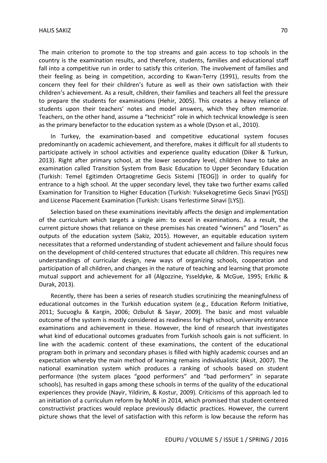The main criterion to promote to the top streams and gain access to top schools in the country is the examination results, and therefore, students, families and educational staff fall into a competitive run in order to satisfy this criterion. The involvement of families and their feeling as being in competition, according to Kwan-Terry (1991), results from the concern they feel for their children's future as well as their own satisfaction with their children's achievement. As a result, children, their families and teachers all feel the pressure to prepare the students for examinations (Hehir, 2005). This creates a heavy reliance of students upon their teachers' notes and model answers, which they often memorize. Teachers, on the other hand, assume a "technicist" role in which technical knowledge is seen as the primary benefactor to the education system as a whole (Dyson et al., 2010).

In Turkey, the examination-based and competitive educational system focuses predominantly on academic achievement, and therefore, makes it difficult for all students to participate actively in school activities and experience quality education (Diker & Turkun, 2013). Right after primary school, at the lower secondary level, children have to take an examination called Transition System from Basic Education to Upper Secondary Education (Turkish: Temel Egitimden Ortaogretime Gecis Sistemi [TEOG]) in order to qualify for entrance to a high school. At the upper secondary level, they take two further exams called Examination for Transition to Higher Education (Turkish: Yuksekogretime Gecis Sinavi [YGS]) and License Placement Examination (Turkish: Lisans Yerlestirme Sinavi [LYS]).

Selection based on these examinations inevitably affects the design and implementation of the curriculum which targets a single aim: to excel in examinations. As a result, the current picture shows that reliance on these premises has created "winners" and "losers" as outputs of the education system (Sakiz, 2015). However, an equitable education system necessitates that a reformed understanding of student achievement and failure should focus on the development of child-centered structures that educate all children. This requires new understandings of curricular design, new ways of organizing schools, cooperation and participation of all children, and changes in the nature of teaching and learning that promote mutual support and achievement for all (Algozzine, Ysseldyke, & McGue, 1995; Erkilic & Durak, 2013).

Recently, there has been a series of research studies scrutinizing the meaningfulness of educational outcomes in the Turkish education system (e.g., Education Reform Initiative, 2011; Sucuoglu & Kargin, 2006; Ozbulut & Sayar, 2009). The basic and most valuable outcome of the system is mostly considered as readiness for high school, university entrance examinations and achievement in these. However, the kind of research that investigates what kind of educational outcomes graduates from Turkish schools gain is not sufficient. In line with the academic content of these examinations, the content of the educational program both in primary and secondary phases is filled with highly academic courses and an expectation whereby the main method of learning remains individualistic (Aksit, 2007). The national examination system which produces a ranking of schools based on student performance (the system places "good performers" and "bad performers" in separate schools), has resulted in gaps among these schools in terms of the quality of the educational experiences they provide (Nayir, Yildirim, & Kostur, 2009). Criticisms of this approach led to an initiation of a curriculum reform by MoNE in 2014, which promised that student-centered constructivist practices would replace previously didactic practices. However, the current picture shows that the level of satisfaction with this reform is low because the reform has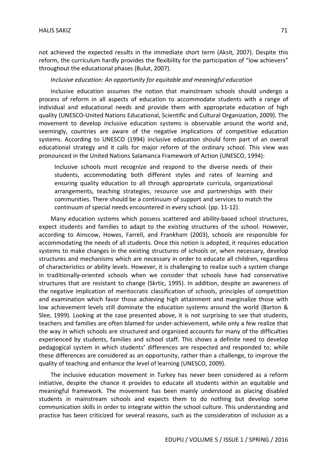not achieved the expected results in the immediate short term (Aksit, 2007). Despite this reform, the curriculum hardly provides the flexibility for the participation of "low achievers" throughout the educational phases (Bulut, 2007).

### *Inclusive education: An opportunity for equitable and meaningful education*

Inclusive education assumes the notion that mainstream schools should undergo a process of reform in all aspects of education to accommodate students with a range of individual and educational needs and provide them with appropriate education of high quality (UNESCO-United Nations Educational, Scientific and Cultural Organization, 2009). The movement to develop inclusive education systems is observable around the world and, seemingly, countries are aware of the negative implications of competitive education systems. According to UNESCO (1994) inclusive education should form part of an overall educational strategy and it calls for major reform of the ordinary school. This view was pronounced in the United Nations Salamanca Framework of Action (UNESCO, 1994):

Inclusive schools must recognize and respond to the diverse needs of their students, accommodating both different styles and rates of learning and ensuring quality education to all through appropriate curricula, organizational arrangements, teaching strategies, resource use and partnerships with their communities. There should be a continuum of support and services to match the continuum of special needs encountered in every school. (pp. 11-12).

Many education systems which possess scattered and ability-based school structures, expect students and families to adapt to the existing structures of the school. However, according to Ainscow, Howes, Farrell, and Frankham (2003), schools are responsible for accommodating the needs of all students. Once this notion is adopted, it requires education systems to make changes in the existing structures of schools or, when necessary, develop structures and mechanisms which are necessary in order to educate all children, regardless of characteristics or ability levels. However, it is challenging to realize such a system change in traditionally-oriented schools when we consider that schools have had conservative structures that are resistant to change (Skrtic, 1995). In addition, despite an awareness of the negative implication of meritocratic classification of schools, principles of competition and examination which favor those achieving high attainment and marginalize those with low achievement levels still dominate the education systems around the world (Barton & Slee, 1999). Looking at the case presented above, it is not surprising to see that students, teachers and families are often blamed for under-achievement, while only a few realize that the way in which schools are structured and organized accounts for many of the difficulties experienced by students, families and school staff. This shows a definite need to develop pedagogical system in which students' differences are respected and responded to; while these differences are considered as an opportunity, rather than a challenge, to improve the quality of teaching and enhance the level of learning (UNESCO, 2009).

The inclusive education movement in Turkey has never been considered as a reform initiative, despite the chance it provides to educate all students within an equitable and meaningful framework. The movement has been mainly understood as placing disabled students in mainstream schools and expects them to do nothing but develop some communication skills in order to integrate within the school culture. This understanding and practice has been criticized for several reasons, such as the consideration of inclusion as a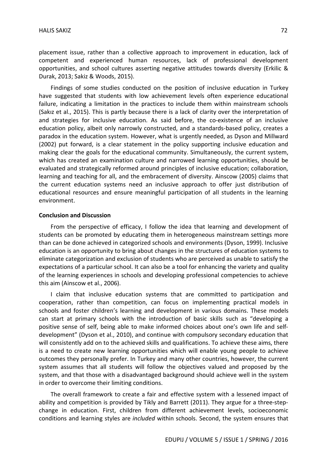placement issue, rather than a collective approach to improvement in education, lack of competent and experienced human resources, lack of professional development opportunities, and school cultures asserting negative attitudes towards diversity (Erkilic & Durak, 2013; Sakiz & Woods, 2015).

Findings of some studies conducted on the position of inclusive education in Turkey have suggested that students with low achievement levels often experience educational failure, indicating a limitation in the practices to include them within mainstream schools (Sakız et al., 2015). This is partly because there is a lack of clarity over the interpretation of and strategies for inclusive education. As said before, the co-existence of an inclusive education policy, albeit only narrowly constructed, and a standards-based policy, creates a paradox in the education system. However, what is urgently needed, as Dyson and Millward (2002) put forward, is a clear statement in the policy supporting inclusive education and making clear the goals for the educational community. Simultaneously, the current system, which has created an examination culture and narrowed learning opportunities, should be evaluated and strategically reformed around principles of inclusive education; collaboration, learning and teaching for all, and the embracement of diversity. Ainscow (2005) claims that the current education systems need an inclusive approach to offer just distribution of educational resources and ensure meaningful participation of all students in the learning environment.

#### **Conclusion and Discussion**

From the perspective of efficacy, I follow the idea that learning and development of students can be promoted by educating them in heterogeneous mainstream settings more than can be done achieved in categorized schools and environments (Dyson, 1999). Inclusive education is an opportunity to bring about changes in the structures of education systems to eliminate categorization and exclusion of students who are perceived as unable to satisfy the expectations of a particular school. It can also be a tool for enhancing the variety and quality of the learning experiences in schools and developing professional competencies to achieve this aim (Ainscow et al., 2006).

I claim that inclusive education systems that are committed to participation and cooperation, rather than competition, can focus on implementing practical models in schools and foster children's learning and development in various domains. These models can start at primary schools with the introduction of basic skills such as "developing a positive sense of self, being able to make informed choices about one's own life and selfdevelopment" (Dyson et al., 2010), and continue with compulsory secondary education that will consistently add on to the achieved skills and qualifications. To achieve these aims, there is a need to create new learning opportunities which will enable young people to achieve outcomes they personally prefer. In Turkey and many other countries, however, the current system assumes that all students will follow the objectives valued and proposed by the system, and that those with a disadvantaged background should achieve well in the system in order to overcome their limiting conditions.

The overall framework to create a fair and effective system with a lessened impact of ability and competition is provided by Tikly and Barrett (2011). They argue for a three-stepchange in education. First, children from different achievement levels, socioeconomic conditions and learning styles are *included* within schools. Second, the system ensures that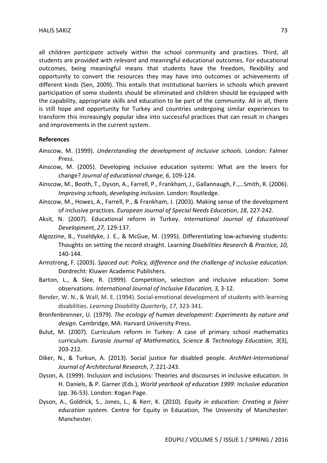all children *participate* actively within the school community and practices. Third, all students are provided with *relevant* and meaningful educational outcomes. For educational outcomes, being meaningful means that students have the freedom, flexibility and opportunity to convert the resources they may have into outcomes or achievements of different kinds (Sen, 2009). This entails that institutional barriers in schools which prevent participation of some students should be eliminated and children should be equipped with the capability, appropriate skills and education to be part of the community. All in all, there is still hope and opportunity for Turkey and countries undergoing similar experiences to transform this increasingly popular idea into successful practices that can result in changes and improvements in the current system.

#### **References**

- Ainscow, M. (1999). *Understanding the development of inclusive schools.* London: Falmer Press.
- Ainscow, M. (2005). Developing inclusive education systems: What are the levers for change? *Journal of educational change*, *6*, 109-124.
- Ainscow, M., Booth, T., Dyson, A., Farrell, P., Frankham, J., Gallannaugh, F.,…Smith, R. (2006). *Improving schools, developing inclusion*. London: Routledge.
- Ainscow, M., Howes, A., Farrell, P., & Frankham, J. (2003). Making sense of the development of inclusive practices. *European Journal of Special Needs Education*, *18*, 227-242.
- Aksit, N. (2007). Educational reform in Turkey. *International Journal of Educational Development*, *27,* 129-137.
- Algozzine, B., Ysseldyke, J. E., & McGue, M. (1995). Differentiating low-achieving students: Thoughts on setting the record straight. Learning *Disabilities Research & Practice, 10,*  140-144.
- Armstrong, F. (2003). *Spaced out: Policy, difference and the challenge of inclusive education*. Dordrecht: Kluwer Academic Publishers.
- Barton, L., & Slee, R. (1999). Competition, selection and inclusive education: Some observations. *International Journal of Inclusive Education, 3,* 3-12.
- Bender, W. N., & Wall, M. E. (1994). Social-emotional development of students with learning disabilities. *Learning Disability Quarterly*, *17*, 323-341.
- Bronfenbrenner, U. (1979). *The ecology of human development: Experiments by nature and design.* Cambridge, MA: Harvard University Press.
- Bulut, M. (2007). Curriculum reform in Turkey: A case of primary school mathematics curriculum. *Eurasia Journal of Mathematics, Science & Technology Education, 3*(3), 203-212.
- Diker, N., & Turkun, A. (2013). Social justice for disabled people. *ArchNet-International Journal of Architectural Research*, *7*, 221-243.
- Dyson, A. (1999). Inclusion and inclusions: Theories and discourses in inclusive education. In H. Daniels, & P. Garner (Eds.), *World yearbook of education 1999: Inclusive education*  (pp. 36-53). London: Kogan Page.
- Dyson, A., Goldrick, S., Jones, L., & Kerr, K. (2010). *Equity in education: Creating a fairer education system.* Centre for Equity in Education, The University of Manchester: Manchester.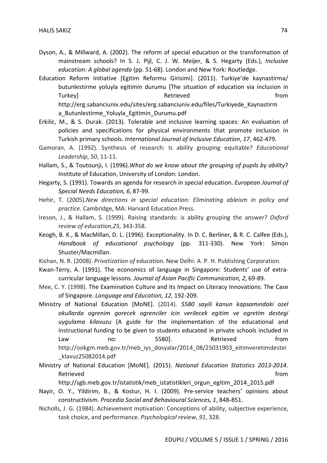- Dyson, A., & Millward, A. (2002). The reform of special education or the transformation of mainstream schools? In S. J. Pijl, C. J. W. Meijer, & S. Hegarty (Eds.), *Inclusive education: A global agenda* (pp. 51-68). London and New York: Routledge.
- Education Reform Initiative [Egitim Reformu Girisimi]. (2011). Turkiye'de kaynastirma/ butunlestirme yoluyla egitimin durumu [The situation of education via inclusion in Turkey] Turkey and the settlement of the Retrieved from the settlement of the settlement of the set of the set http://erg.sabanciuniv.edu/sites/erg.sabanciuniv.edu/files/Turkiyede\_Kaynastirm a Butunlestirme Yoluyla Egitimin Durumu.pdf
- Erkilic, M., & S. Durak. (2013). Tolerable and inclusive learning spaces: An evaluation of policies and specifications for physical environments that promote inclusion in Turkish primary schools. *International Journal of Inclusive Education*, *17*, 462-479.
- Gamoran, A. (1992). Synthesis of research: Is ability grouping equitable? *Educational Leadership*, *50*, 11-11.
- Hallam, S., & Toutounji, I. (1996).*What do we know about the grouping of pupils by ability*? Institute of Education, University of London: London.
- Hegarty, S. (1991). Towards an agenda for research in special education. *European Journal of Special Needs Education, 6*, 87-99.
- Hehir, T. (2005).*New directions in special education: Eliminating ableism in policy and practice*. Cambridge, MA: Harvard Education Press.
- Ireson, J., & Hallam, S. (1999). Raising standards: is ability grouping the answer? *Oxford review of education*,*25*, 343-358.
- Keogh, B. K., & MacMillan, D. L. (1996). Exceptionality. In D. C. Berliner, & R. C. Calfee (Eds.), *Handbook of educational psychology* (pp. 311-330). New York: Simon Shuster/Macmillan.
- Kishan, N. R. (2008). *Privatization of education.* New Delhi: A. P. H. Publishing Corporation.
- Kwan-Terry, A. (1991). The economics of language in Singapore: Students' use of extracurricular language lessons. *Journal of Asian Pacific Communication, 2*, 69-89.
- Mee, C. Y. (1998). The Examination Culture and its Impact on Literacy Innovations: The Case of Singapore. *Language and Education, 12*, 192-209.
- Ministry of National Education [MoNE]. (2014). *5580 sayili kanun kapsamındaki ozel okullarda ogrenim gorecek ogrenciler icin verilecek egitim ve ogretim destegi uygulama kilavuzu* [A guide for the implementation of the educational and instructional funding to be given to students educated in private schools included in Law 10: 10.5580]. Retrieved from http://ookgm.meb.gov.tr/meb\_iys\_dosyalar/2014\_08/25031903\_eitimveretimdestei \_klavuz25082014.pdf
- Ministry of National Education [MoNE]. (2015). *National Education Statistics 2013-2014*. Retrieved **from**

http://sgb.meb.gov.tr/istatistik/meb\_istatistikleri\_orgun\_egitim\_2014\_2015.pdf

- Nayir, O. Y., Yildirim, B., & Kostur, H. I. (2009). Pre-service teachers' opinions about constructivism. *Procedia Social and Behavioural Sciences, 1*, 848-851.
- Nicholls, J. G. (1984). Achievement motivation: Conceptions of ability, subjective experience, task choice, and performance. *Psychological review*, *91*, 328.